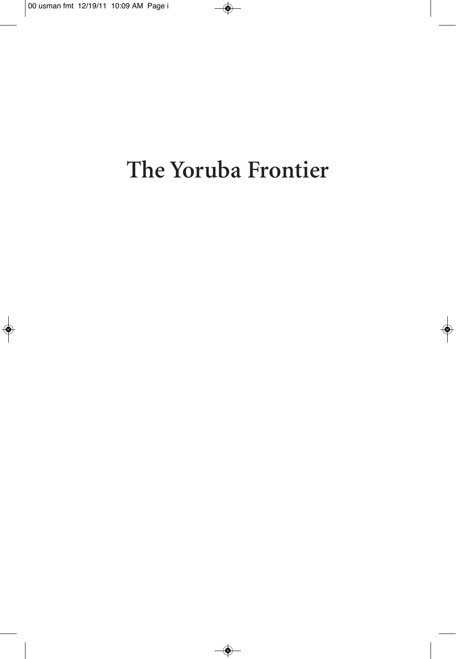# The Yoruba Frontier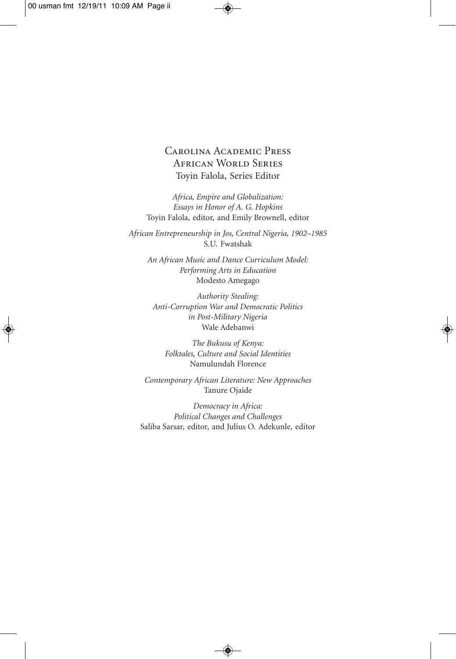#### Carolina Academic Press African World Series Toyin Falola, Series Editor

*Africa, Empire and Globalization: Essays in Honor of A. G. Hopkins* Toyin Falola, editor, and Emily Brownell, editor

*African Entrepreneurship in Jos, Central Nigeria, 1902–1985* S.U. Fwatshak

*An African Music and Dance Curriculum Model: Performing Arts in Education* Modesto Amegago

*Authority Stealing: Anti-Corruption War and Democratic Politics in Post-Military Nigeria* Wale Adebanwi

*The Bukusu of Kenya: Folktales, Culture and Social Identities* Namulundah Florence

*Contemporary African Literature: New Approaches* Tanure Ojaide

*Democracy in Africa: Political Changes and Challenges* Saliba Sarsar, editor, and Julius O. Adekunle, editor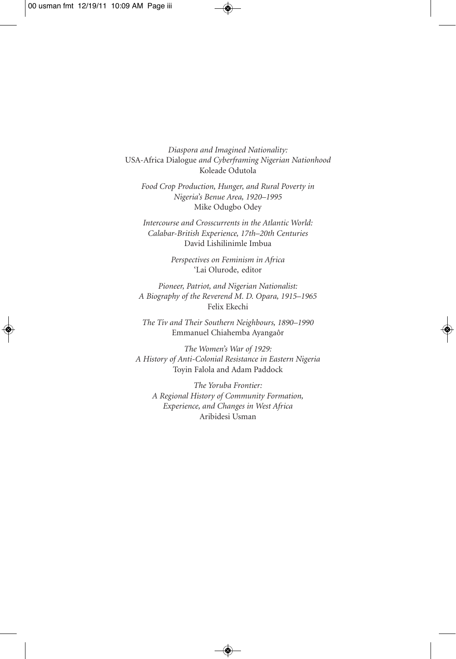*Diaspora and Imagined Nationality:* USA-Africa Dialogue *and Cyberframing Nigerian Nationhood* Koleade Odutola

*Food Crop Production, Hunger, and Rural Poverty in Nigeria's Benue Area, 1920–1995* Mike Odugbo Odey

*Intercourse and Crosscurrents in the Atlantic World: Calabar-British Experience, 17th–20th Centuries* David Lishilinimle Imbua

> *Perspectives on Feminism in Africa* 'Lai Olurode, editor

*Pioneer, Patriot, and Nigerian Nationalist: A Biography of the Reverend M. D. Opara, 1915–1965* Felix Ekechi

*The Tiv and Their Southern Neighbours, 1890–1990* Emmanuel Chiahemba Ayangaôr

*The Women's War of 1929: A History of Anti-Colonial Resistance in Eastern Nigeria* Toyin Falola and Adam Paddock

*The Yoruba Frontier: A Regional History of Community Formation, Experience, and Changes in West Africa* Aribidesi Usman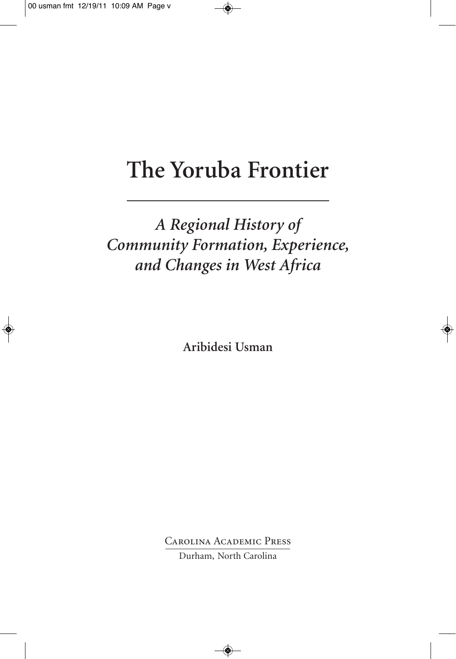# **The Yoruba Frontier**

### *A Regional History of Community Formation, Experience, and Changes in West Africa*

**Aribidesi Usman**

Carolina Academic Press

Durham, North Carolina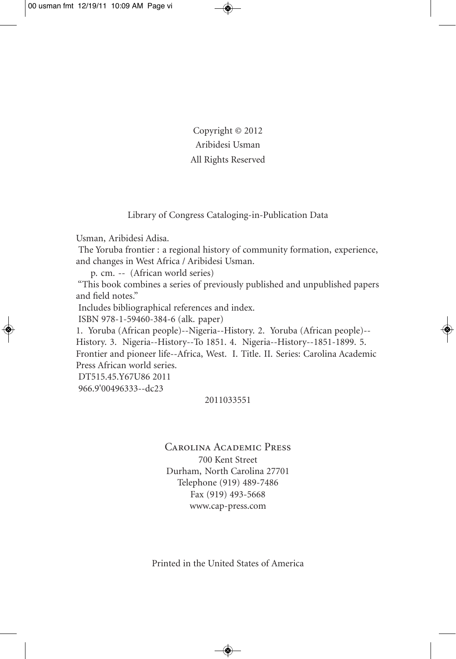Copyright © 2012 Aribidesi Usman All Rights Reserved

Library of Congress Cataloging-in-Publication Data

Usman, Aribidesi Adisa.

The Yoruba frontier : a regional history of community formation, experience, and changes in West Africa / Aribidesi Usman.

p. cm. -- (African world series)

"This book combines a series of previously published and unpublished papers and field notes."

Includes bibliographical references and index.

ISBN 978-1-59460-384-6 (alk. paper)

1. Yoruba (African people)--Nigeria--History. 2. Yoruba (African people)-- History. 3. Nigeria--History--To 1851. 4. Nigeria--History--1851-1899. 5.

Frontier and pioneer life--Africa, West. I. Title. II. Series: Carolina Academic Press African world series.

DT515.45.Y67U86 2011 966.9'00496333--dc23

#### 2011033551

Carolina Academic Press 700 Kent Street Durham, North Carolina 27701 Telephone (919) 489-7486 Fax (919) 493-5668 www.cap-press.com

Printed in the United States of America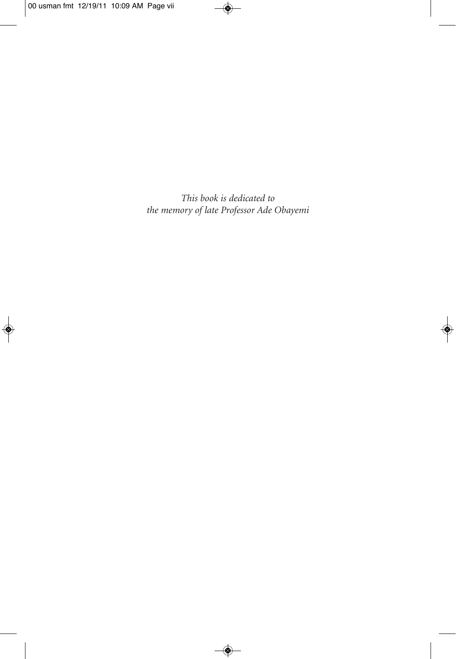*This book is dedicated to the memory of late Professor Ade Obayemi*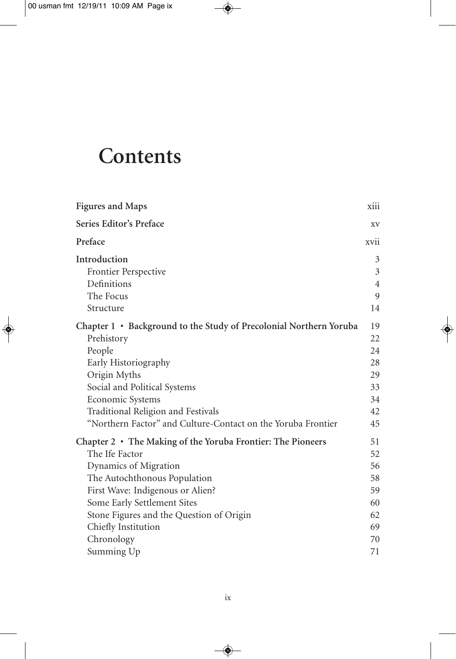## **Contents**

| <b>Figures and Maps</b>                                            | xiii           |
|--------------------------------------------------------------------|----------------|
| Series Editor's Preface                                            | XV             |
| Preface                                                            | xvii           |
| Introduction                                                       | 3              |
| Frontier Perspective                                               | 3              |
| Definitions                                                        | $\overline{4}$ |
| The Focus                                                          | 9              |
| Structure                                                          | 14             |
| Chapter 1 • Background to the Study of Precolonial Northern Yoruba | 19             |
| Prehistory                                                         | 22             |
| People                                                             | 24             |
| Early Historiography                                               | 28             |
| Origin Myths                                                       | 29             |
| Social and Political Systems                                       | 33             |
| Economic Systems                                                   | 34             |
| Traditional Religion and Festivals                                 | 42             |
| "Northern Factor" and Culture-Contact on the Yoruba Frontier       | 45             |
| Chapter 2 • The Making of the Yoruba Frontier: The Pioneers        | 51             |
| The Ife Factor                                                     | 52             |
| Dynamics of Migration                                              | 56             |
| The Autochthonous Population                                       | 58             |
| First Wave: Indigenous or Alien?                                   | 59             |
| Some Early Settlement Sites                                        | 60             |
| Stone Figures and the Question of Origin                           | 62             |
| Chiefly Institution                                                | 69             |
| Chronology                                                         | 70             |
| Summing Up                                                         | 71             |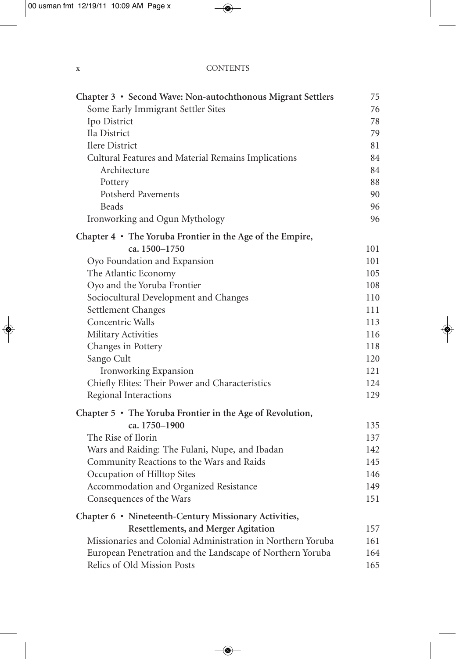#### x CONTENTS

| Chapter 3 • Second Wave: Non-autochthonous Migrant Settlers     | 75  |
|-----------------------------------------------------------------|-----|
| Some Early Immigrant Settler Sites                              | 76  |
| Ipo District                                                    | 78  |
| Ila District                                                    | 79  |
| Ilere District                                                  | 81  |
| Cultural Features and Material Remains Implications             | 84  |
| Architecture                                                    | 84  |
| Pottery                                                         | 88  |
| <b>Potsherd Pavements</b>                                       | 90  |
| <b>Beads</b>                                                    | 96  |
| Ironworking and Ogun Mythology                                  | 96  |
| Chapter $4 \cdot$ The Yoruba Frontier in the Age of the Empire, |     |
| ca. 1500-1750                                                   | 101 |
| Oyo Foundation and Expansion                                    | 101 |
| The Atlantic Economy                                            | 105 |
| Oyo and the Yoruba Frontier                                     | 108 |
| Sociocultural Development and Changes                           | 110 |
| Settlement Changes                                              | 111 |
| Concentric Walls                                                | 113 |
| Military Activities                                             | 116 |
| Changes in Pottery                                              | 118 |
| Sango Cult                                                      | 120 |
| Ironworking Expansion                                           | 121 |
| Chiefly Elites: Their Power and Characteristics                 | 124 |
| Regional Interactions                                           | 129 |
| Chapter $5 \cdot$ The Yoruba Frontier in the Age of Revolution, |     |
| ca. 1750-1900                                                   | 135 |
| The Rise of Ilorin                                              | 137 |
| Wars and Raiding: The Fulani, Nupe, and Ibadan                  | 142 |
| Community Reactions to the Wars and Raids                       | 145 |
| Occupation of Hilltop Sites                                     | 146 |
| Accommodation and Organized Resistance                          | 149 |
| Consequences of the Wars                                        | 151 |
| Chapter 6 · Nineteenth-Century Missionary Activities,           |     |
| <b>Resettlements, and Merger Agitation</b>                      | 157 |
| Missionaries and Colonial Administration in Northern Yoruba     | 161 |
| European Penetration and the Landscape of Northern Yoruba       | 164 |
| Relics of Old Mission Posts                                     | 165 |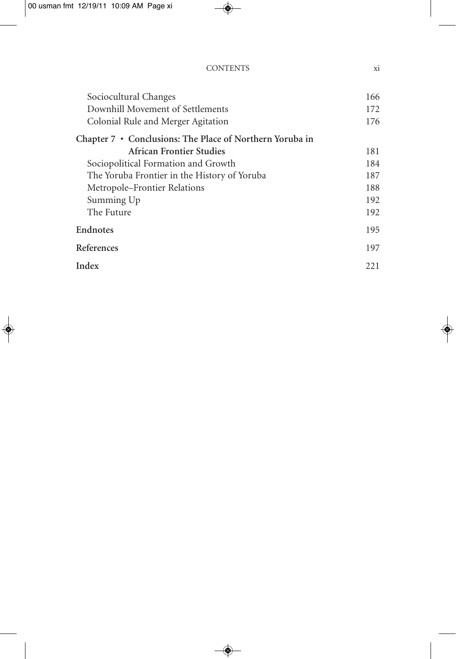| <b>CONTENTS</b> |  |
|-----------------|--|
|                 |  |

| Sociocultural Changes                                    | 166  |
|----------------------------------------------------------|------|
| Downhill Movement of Settlements                         | 172  |
| Colonial Rule and Merger Agitation                       | 176  |
| Chapter 7 • Conclusions: The Place of Northern Yoruba in |      |
| <b>African Frontier Studies</b>                          | 181  |
| Sociopolitical Formation and Growth                      | 184  |
| The Yoruba Frontier in the History of Yoruba             | 187  |
| Metropole-Frontier Relations                             | 188  |
| Summing Up                                               | 192  |
| The Future                                               | 192  |
| <b>Endnotes</b>                                          | 195  |
| References                                               | 197  |
| Index                                                    | 22.1 |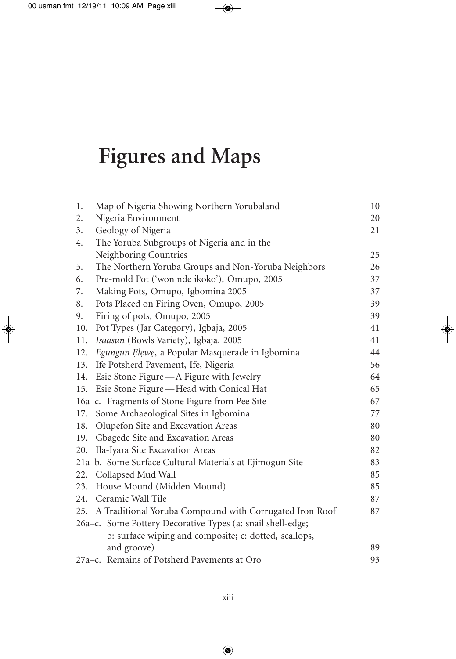# **Figures and Maps**

| 1.  | Map of Nigeria Showing Northern Yorubaland                 | 10 |
|-----|------------------------------------------------------------|----|
| 2.  | Nigeria Environment                                        | 20 |
| 3.  | Geology of Nigeria                                         | 21 |
| 4.  | The Yoruba Subgroups of Nigeria and in the                 |    |
|     | Neighboring Countries                                      | 25 |
| 5.  | The Northern Yoruba Groups and Non-Yoruba Neighbors        | 26 |
| 6.  | Pre-mold Pot ('won nde ikoko'), Omupo, 2005                | 37 |
| 7.  | Making Pots, Omupo, Igbomina 2005                          | 37 |
| 8.  | Pots Placed on Firing Oven, Omupo, 2005                    | 39 |
| 9.  | Firing of pots, Omupo, 2005                                | 39 |
| 10. | Pot Types (Jar Category), Igbaja, 2005                     | 41 |
| 11. | Isaasun (Bowls Variety), Igbaja, 2005                      | 41 |
| 12. | Egungun Elewe, a Popular Masquerade in Igbomina            | 44 |
| 13. | Ife Potsherd Pavement, Ife, Nigeria                        | 56 |
| 14. | Esie Stone Figure - A Figure with Jewelry                  | 64 |
| 15. | Esie Stone Figure—Head with Conical Hat                    | 65 |
|     | 16a-c. Fragments of Stone Figure from Pee Site             | 67 |
| 17. | Some Archaeological Sites in Igbomina                      | 77 |
| 18. | Olupefon Site and Excavation Areas                         | 80 |
| 19. | Gbagede Site and Excavation Areas                          | 80 |
| 20. | Ila-Iyara Site Excavation Areas                            | 82 |
|     | 21a-b. Some Surface Cultural Materials at Ejimogun Site    | 83 |
| 22. | Collapsed Mud Wall                                         | 85 |
| 23. | House Mound (Midden Mound)                                 | 85 |
| 24. | Ceramic Wall Tile                                          | 87 |
| 25. | A Traditional Yoruba Compound with Corrugated Iron Roof    | 87 |
|     | 26a–c. Some Pottery Decorative Types (a: snail shell-edge; |    |
|     | b: surface wiping and composite; c: dotted, scallops,      |    |
|     | and groove)                                                | 89 |
|     | 27a-c. Remains of Potsherd Pavements at Oro                | 93 |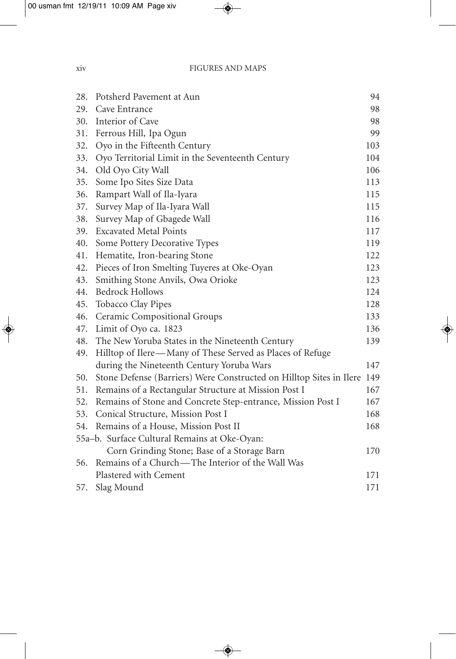| 28. | Potsherd Pavement at Aun                                            | 94  |
|-----|---------------------------------------------------------------------|-----|
| 29. | Cave Entrance                                                       | 98  |
| 30. | Interior of Cave                                                    | 98  |
| 31. | Ferrous Hill, Ipa Ogun                                              | 99  |
| 32. | Oyo in the Fifteenth Century                                        | 103 |
| 33. | Oyo Territorial Limit in the Seventeenth Century                    | 104 |
| 34. | Old Oyo City Wall                                                   | 106 |
| 35. | Some Ipo Sites Size Data                                            | 113 |
| 36. | Rampart Wall of Ila-Iyara                                           | 115 |
| 37. | Survey Map of Ila-Iyara Wall                                        | 115 |
| 38. | Survey Map of Gbagede Wall                                          | 116 |
| 39. | <b>Excavated Metal Points</b>                                       | 117 |
| 40. | Some Pottery Decorative Types                                       | 119 |
| 41. | Hematite, Iron-bearing Stone                                        | 122 |
| 42. | Pieces of Iron Smelting Tuyeres at Oke-Oyan                         | 123 |
| 43. | Smithing Stone Anvils, Owa Orioke                                   | 123 |
| 44. | <b>Bedrock Hollows</b>                                              | 124 |
| 45. | Tobacco Clay Pipes                                                  | 128 |
| 46. | Ceramic Compositional Groups                                        | 133 |
| 47. | Limit of Oyo ca. 1823                                               | 136 |
| 48. | The New Yoruba States in the Nineteenth Century                     | 139 |
| 49. | Hilltop of Ilere—Many of These Served as Places of Refuge           |     |
|     | during the Nineteenth Century Yoruba Wars                           | 147 |
| 50. | Stone Defense (Barriers) Were Constructed on Hilltop Sites in Ilere | 149 |
| 51. | Remains of a Rectangular Structure at Mission Post I                | 167 |
| 52. | Remains of Stone and Concrete Step-entrance, Mission Post I         | 167 |
| 53. | Conical Structure, Mission Post I                                   | 168 |
| 54. | Remains of a House, Mission Post II                                 | 168 |
|     | 55a-b. Surface Cultural Remains at Oke-Oyan:                        |     |
|     | Corn Grinding Stone; Base of a Storage Barn                         | 170 |
| 56. | Remains of a Church-The Interior of the Wall Was                    |     |
|     | Plastered with Cement                                               | 171 |
| 57. | Slag Mound                                                          | 171 |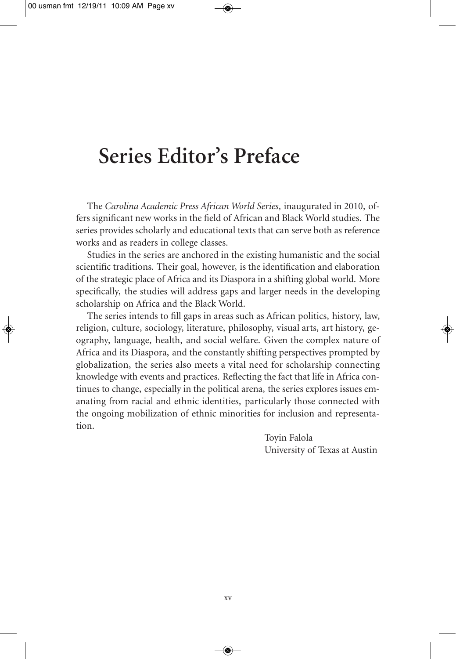## **Series Editor's Preface**

The *Carolina Academic Press African World Series*, inaugurated in 2010, offers significant new works in the field of African and Black World studies. The series provides scholarly and educational texts that can serve both as reference works and as readers in college classes.

Studies in the series are anchored in the existing humanistic and the social scientific traditions. Their goal, however, is the identification and elaboration of the strategic place of Africa and its Diaspora in a shifting global world. More specifically, the studies will address gaps and larger needs in the developing scholarship on Africa and the Black World.

The series intends to fill gaps in areas such as African politics, history, law, religion, culture, sociology, literature, philosophy, visual arts, art history, geography, language, health, and social welfare. Given the complex nature of Africa and its Diaspora, and the constantly shifting perspectives prompted by globalization, the series also meets a vital need for scholarship connecting knowledge with events and practices. Reflecting the fact that life in Africa continues to change, especially in the political arena, the series explores issues emanating from racial and ethnic identities, particularly those connected with the ongoing mobilization of ethnic minorities for inclusion and representation.

> Toyin Falola University of Texas at Austin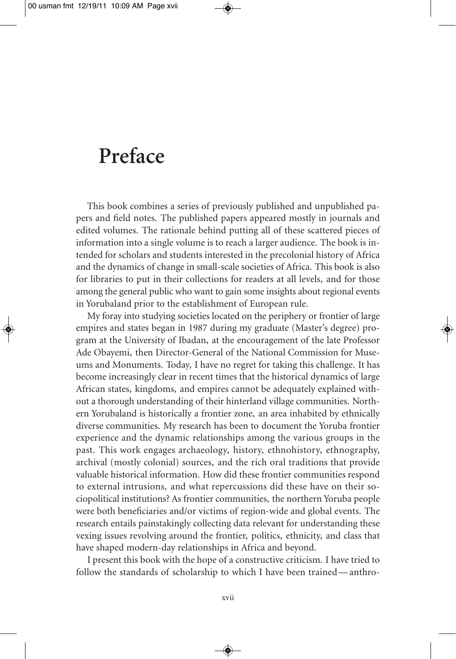### **Preface**

This book combines a series of previously published and unpublished papers and field notes. The published papers appeared mostly in journals and edited volumes. The rationale behind putting all of these scattered pieces of information into a single volume is to reach a larger audience. The book is intended for scholars and students interested in the precolonial history of Africa and the dynamics of change in small-scale societies of Africa. This book is also for libraries to put in their collections for readers at all levels, and for those among the general public who want to gain some insights about regional events in Yorubaland prior to the establishment of European rule.

My foray into studying societies located on the periphery or frontier of large empires and states began in 1987 during my graduate (Master's degree) program at the University of Ibadan, at the encouragement of the late Professor Ade Obayemi, then Director-General of the National Commission for Museums and Monuments. Today, I have no regret for taking this challenge. It has become increasingly clear in recent times that the historical dynamics of large African states, kingdoms, and empires cannot be adequately explained without a thorough understanding of their hinterland village communities. Northern Yorubaland is historically a frontier zone, an area inhabited by ethnically diverse communities. My research has been to document the Yoruba frontier experience and the dynamic relationships among the various groups in the past. This work engages archaeology, history, ethnohistory, ethnography, archival (mostly colonial) sources, and the rich oral traditions that provide valuable historical information. How did these frontier communities respond to external intrusions, and what repercussions did these have on their sociopolitical institutions? As frontier communities, the northern Yoruba people were both beneficiaries and/or victims of region-wide and global events. The research entails painstakingly collecting data relevant for understanding these vexing issues revolving around the frontier, politics, ethnicity, and class that have shaped modern-day relationships in Africa and beyond.

I present this book with the hope of a constructive criticism. I have tried to follow the standards of scholarship to which I have been trained—anthro-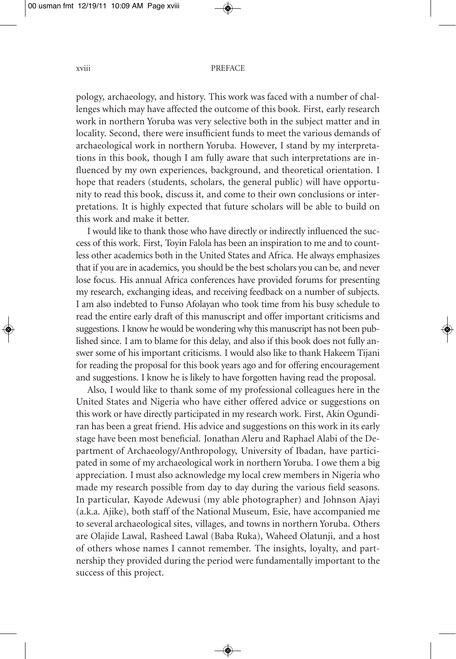#### xviii PREFACE

pology, archaeology, and history. This work was faced with a number of challenges which may have affected the outcome of this book. First, early research work in northern Yoruba was very selective both in the subject matter and in locality. Second, there were insufficient funds to meet the various demands of archaeological work in northern Yoruba. However, I stand by my interpretations in this book, though I am fully aware that such interpretations are influenced by my own experiences, background, and theoretical orientation. I hope that readers (students, scholars, the general public) will have opportunity to read this book, discuss it, and come to their own conclusions or interpretations. It is highly expected that future scholars will be able to build on this work and make it better.

I would like to thank those who have directly or indirectly influenced the success of this work. First, Toyin Falola has been an inspiration to me and to countless other academics both in the United States and Africa. He always emphasizes that if you are in academics, you should be the best scholars you can be, and never lose focus. His annual Africa conferences have provided forums for presenting my research, exchanging ideas, and receiving feedback on a number of subjects. I am also indebted to Funso Afolayan who took time from his busy schedule to read the entire early draft of this manuscript and offer important criticisms and suggestions. I know he would be wondering why this manuscript has not been published since. I am to blame for this delay, and also if this book does not fully answer some of his important criticisms. I would also like to thank Hakeem Tijani for reading the proposal for this book years ago and for offering encouragement and suggestions. I know he is likely to have forgotten having read the proposal.

Also, I would like to thank some of my professional colleagues here in the United States and Nigeria who have either offered advice or suggestions on this work or have directly participated in my research work. First, Akin Ogundiran has been a great friend. His advice and suggestions on this work in its early stage have been most beneficial. Jonathan Aleru and Raphael Alabi of the Department of Archaeology/Anthropology, University of Ibadan, have participated in some of my archaeological work in northern Yoruba. I owe them a big appreciation. I must also acknowledge my local crew members in Nigeria who made my research possible from day to day during the various field seasons. In particular, Kayode Adewusi (my able photographer) and Johnson Ajayi (a.k.a. Ajike), both staff of the National Museum, Esie, have accompanied me to several archaeological sites, villages, and towns in northern Yoruba. Others are Olajide Lawal, Rasheed Lawal (Baba Ruka), Waheed Olatunji, and a host of others whose names I cannot remember. The insights, loyalty, and partnership they provided during the period were fundamentally important to the success of this project.